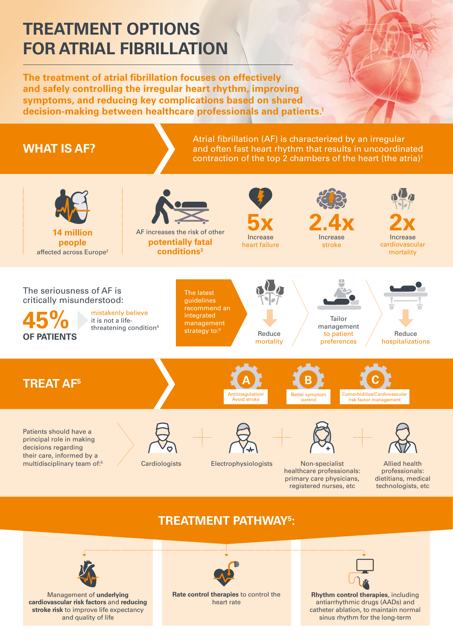Management of **underlying cardiovascular risk factors** and **reducing stroke risk** to improve life expectancy and quality of life

**Rate control therapies** to control the heart rate

**Rhythm control therapies**, including antiarrhythmic drugs (AADs) and catheter ablation, to maintain normal sinus rhythm for the long-term

The latest guidelines recommend an integrated management strategy to:<sup>5</sup>

# **TREATMENT OPTIONS FOR ATRIAL FIBRILLATION**

mistakenly believe it is not a lifethreatening condition<sup>4</sup> Atrial fibrillation (AF) is characterized by an irregular and often fast heart rhythm that results in uncoordinated contraction of the top 2 chambers of the heart (the atria) $^{\rm 1}$ 



**The treatment of atrial fibrillation focuses on effectively and safely controlling the irregular heart rhythm, improving symptoms, and reducing key complications based on shared decision-making between healthcare professionals and patients.1** 

**14 million people** affected across Europe<sup>2</sup>



The seriousness of AF is critically misunderstood:





hospitalizations



Reduce mortality

## **WHAT IS AF?**



Increase stroke

**5x** Increase heart failure

AF increases the risk of other **potentially fatal conditions3**





healthcare professionals: primary care physicians,

registered nurses, etc technologists, etc

Allied health professionals: dietitians, medical



### **TREATMENT PATHWAY5 :**